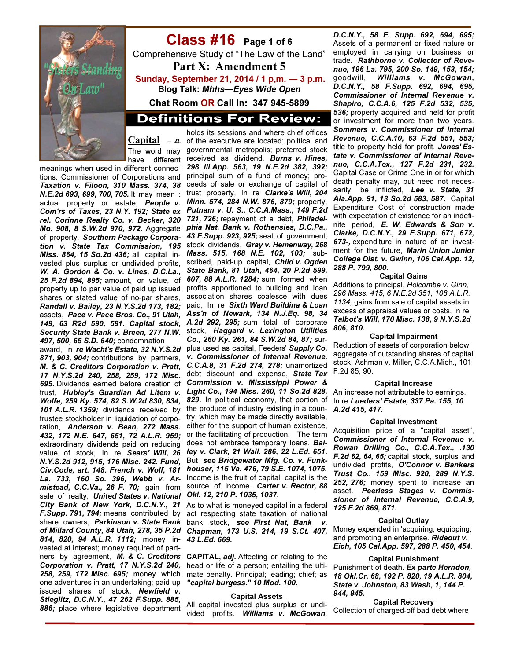

# Class #16 Page 1 of 6

Comprehensive Study of "The Law of the Land" Part X: Amendment 5 Sunday, September 21, 2014 / 1 p,m. — 3 p.m.

Blog Talk: Mhhs—Eyes Wide Open

Chat Room OR Call In: 347 945-5899

# **Definitions For Review:**

Capital  $- n$ .

meanings when used in different connections. Commissioner of Corporations and *Taxation v. Filoon, 310 Mass. 374, 38 N.E.2d 693, 699, 700, 705.* It may mean : actual property or estate, *People v. Com'rs of Taxes, 23 N.Y. 192; State ex rel. Corinne Realty Co. v. Becker, 320 Mo. 908, 8 S.W.2d 970, 972.* Aggregate of property, *Southern Package Corporation v. State Tax Commission, 195 Miss. 864, 15 So.2d 436;* all capital invested plus surplus or undivided profits, *W. A. Gordon & Co. v. Lines, D.C.La., 25 F.2d 894, 895;* amount, or value, of property up to par value of paid up issued shares or stated value of no-par shares, *Randall v. Bailey, 23 N.Y.S.2d 173, 182;* assets, *Pace v. Pace Bros. Co., 91 Utah, 149, 63 R2d 590, 591. Capital stock, Security State Bank v. Breen, 277 N.W. 497, 500, 65 S.D. 640;* condemnation

award, In *re Wacht's Estate, 32 N.Y.S.2d 871, 903, 904;* contributions by partners, *M. & C. Creditors Corporation v. Pratt, 17 N.Y.S.2d 240, 258, 259, 172 Misc. 695.* Dividends earned before creation of trust, *Hubley's Guardian Ad Litem v. Wolfe, 259 Ky. 574, 82 S.W.2d 830, 834, 101 A.L.R. 1359;* dividends received by trustee stockholder in liquidation of corporation, *Anderson v. Bean, 272 Mass. 432, 172 N.E. 647, 651, 72 A.L.R. 959;*  extraordinary dividends paid on reducing value of stock, In re *Sears' Will, 26 N.Y.S.2d 912, 915, 176 Misc. 242. Fund, Civ.Code, art. 148. French v. Wolf, 181 La. 733, 160 So. 396, Webb v. Armistead, C.C.Va., 26 F. 70;* gain from sale of realty, *United States v. National City Bank of New York, D.C.N.Y., 21 F.Supp. 791, 794;* means contributed by share owners, *Parkinson v. State Bank of Millard County, 84 Utah, 278, 35 P.2d 814, 820, 94 A.L.R. 1112;* money invested at interest; money required of partners by agreement, *M. & C. Creditors Corporation v. Pratt, 17 N.Y.S.2d 240, 258, 259, 172 Misc. 695;* money which one adventures in an undertaking; paid-up issued shares of stock, *Newfield v. Stieglitz, D.C.N.Y., 47 262 F.Supp. 885, 886;* place where legislative department

The word may governmental metropolis; preferred stock have different received as dividend, *Burns v. Hines,*  holds its sessions and where chief offices of the executive are located; political and *298 Ill.App. 563, 19 N.E.2d 382, 392;*  principal sum of a fund of money; proceeds of sale or exchange of capital of trust property, In re *Clarke's Will, 204 Minn. 574, 284 N.W. 876, 879;* property, *Putnam v. U. S., C.C.A.Mass., 149 F.2d 721, 726;* repayment of a debt, *Philadelphia Nat. Bank v. Rothensies, D.C.Pa., 43 F.Supp. 923, 925;* seat of government; stock dividends, *Gray v. Hemenway, 268 Mass. 515, 168 N.E. 102, 103;* subscribed, paid-up capital, *Child v. Ogden State Bank, 81 Utah, 464, 20 P.2d 599, 607, 88 A.L.R. 1284;* sum formed when profits apportioned to building and loan association shares coalesce with dues paid, In re *Sixth Ward Buildina & Loan Ass'n of Newark, 134 N.J.Eq. 98, 34 A.2d 292, 295;* sum total of corporate stock, *Haggard v. Lexington Utilities Co., 260 Ky. 261, 84 S.W.2d 84, 87;* surplus used as capital, Feeders' *Supply Co. v. Commissioner of Internal Revenue, C.C.A.8, 31 F.2d 274, 278;* unamortized debt discount and expense, *State Tax Commission v. Mississippi Power & Light Co., 194 Miss. 260, 11 So.2d 828, 829.* In political economy, that portion of the produce of industry existing in a country, which may be made directly available, either for the support of human existence, or the facilitating of production. The term does not embrace temporary loans. *Bailey v. Clark, 21 Wall. 286, 22 L.Ed. 651.*  But *see Bridgewater Mfg. Co. v. Funkhouser, 115 Va. 476, 79 S.E. 1074, 1075.*  Income is the fruit of capital; capital is the source of income. *Carter v. Rector, 88 Okl. 12, 210 P. 1035, 1037.* 

> As to what is moneyed capital in a federal act respecting state taxation of national bank stock, *see First Nat, Bank v. Chapman, 173 U.S. 214, 19 S.Ct. 407, 43 L.Ed. 669.*

> CAPITAL, *adj.* Affecting or relating to the head or life of a person; entailing the ultimate penalty. Principal; leading; chief; as *"capital burgess." 10 Mod. 100.*

### Capital Assets

All capital invested plus surplus or undivided profits. *Williams v. McGowan*,

*D.C.N.Y., 58 F. Supp. 692, 694, 695;*  Assets of a permanent or fixed nature or employed in carrying on business or trade. *Rathborne v. Collector of Revenue, 196 La. 795, 200 So. 149, 153, 154;*  goodwill, *Williams v. McGowan, D.C.N.Y., 58 F.Supp. 692, 694, 695, Commissioner of Internal Revenue v. Shapiro, C.C.A.6, 125 F.2d 532, 535, 536;* property acquired and held for profit or investment for more than two years. *Sommers v. Commissioner of Internal Revenue, C.C.A.10, 63 F.2d 551, 553;*  title to property held for profit. *Jones' Estate v. Commissioner of Internal Revenue, C.C.A.Tex., 127 F.2d 231, 232.*  Capital Case or Crime One in or for which death penalty may, but need not necessarily, be inflicted, *Lee v. State, 31 Ala.App. 91, 13 So.2d 583, 587.* Capital Expenditure Cost of construction made with expectation of existence for an indefinite period, *E. W. Edwards & Son v. Clarke, D.C.N.Y., 29 F.Supp. 671, 672, 673-,* expenditure in nature of an investment for the future, *Marin Union Junior College Dist. v. Gwinn, 106 Cal.App. 12, 288 P. 799, 800.* 

#### Capital Gains

Additions to principal, Holcombe v. Ginn, 296 Mass. 415, 6 N.E.2d 351, 108 A.L.R. 1134; gains from sale of capital assets in excess of appraisal values or costs, In re *Talbot's Will, 170 Misc. 138, 9 N.Y.S.2d 806, 810.*

#### Capital Impairment

Reduction of assets of corporation below aggregate of outstanding shares of capital stock. Ashman v. Miller, C.C.A.Mich., 101 F.2d 85, 90.

### Capital Increase

An increase not attributable to earnings. In re *Lueders' Estate, 337 Pa. 155, 10 A.2d 415, 417.*

#### Capital Investment

Acquisition price of a "capital asset", *Commissioner of Internal Revenue v. Rowan Drilling Co., C.C.A.Tex., .130 F.2d 62, 64, 65;* capital stock, surplus and undivided profits, *O'Connor v. Bankers Trust Co., 159 Misc. 920, 289 N.Y.S. 252, 276;* money spent to increase an asset. *Peerless Stages v. Commissioner of Internal Revenue, C.C.A.9, 125 F.2d 869, 871.* 

#### Capital Outlay

Money expended in 'acquiring, equipping, and promoting an enterprise. *Rideout v. Eich, 105 Cal.App. 597, 288 P. 450, 454*.

### Capital Punishment

Punishment of death. *Ex parte Herndon, 18 Okl.Cr. 68, 192 P. 820, 19 A.L.R. 804, State v. Johnston, 83 Wash, 1, 144 P. 944, 945.* 

Capital Recovery Collection of charged-off bad debt where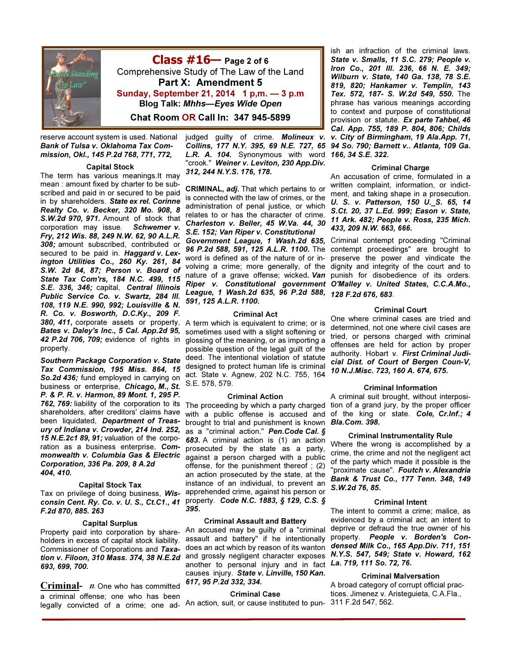

 $Class #16$  Page 2 of 6 Comprehensive Study of The Law of the Land Part X: Amendment 5 Sunday, September 21, 2014 1 p,m. — 3 p.m Blog Talk: Mhhs—Eyes Wide Open Chat Room OR Call In: 347 945-5899

reserve account system is used. National *Bank of Tulsa v. Oklahoma Tax Commission, Okl., 145 P.2d 768, 771, 772,* 

#### Capital Stock

The term has various meanings.It may mean : amount fixed by charter to be subscribed and paid in or secured to be paid in by shareholders. *State ex rel. Corinne Realty Co. v. Becker, 320 Mo. 908, 8 S.W.2d 970, 971.* Amount of stock that corporation may issue. *Schwemer v. Fry, 212 Wis. 88, 249 N.W. 62, 90 A.L.R. 308;* amount subscribed, contributed or secured to be paid in. *Haggard v. Lexington Utilities Co., 260 Ky. 261, 84 S.W. 2d 84, 87; Person v. Board of State Tax Com'rs, 184 N.C. 499, 115 S.E. 336, 346;* capital, *Central Illinois Public Service Co. v. Swartz, 284 Ill. 108, 119 N.E. 990, 992; Louisville & N. R. Co. v. Bosworth, D.C.Ky., 209 F. 380, 411,* corporate assets or property, *Bates v. Daley's Inc., 5 Cal. App.2d 95, 42 P.2d 706, 709;* evidence of rights in property.

*Southern Package Corporation v. State Tax Commission, 195 Miss. 864, 15 So.2d 436;* fund employed in carrying on business or enterprise, *Chicago, M., St. P. & P. R. v. Harmon, 89 Mont. 1, 295 P. 762, 769:* liability of the corporation to its shareholders, after creditors' claims have been liquidated, *Department of Treasury of Indiana v. Crowder, 214 Ind. 252, 15 N.E.2c1 89, 91;* valuation of the corporation as a business enterprise, *Commonwealth v. Columbia Gas & Electric Corporation, 336 Pa. 209, 8 A.2d 404, 410.* 

#### Capital Stock Tax

Tax on privilege of doing business, *Wisconsin Cent. Ry. Co. v. U. S., Ct.C1., 41 F.2d 870, 885. 263* 

#### Capital Surplus

Property paid into corporation by shareholders in excess of capital stock liability. Commissioner of Corporations and *Taxa-693, 699, 700.* 

**Criminal-**  $n$ . One who has committed a criminal offense; one who has been legally convicted of a crime; one ad-

judged guilty of crime. *Molineux v. Collins, 177 N.Y. 395, 69 N.E. 727, 65 L.R. A. 104.* Synonymous with word *166, 34 S.E. 322.*  "crook." *Weiner v. Leviton, 230 App.Div. 312, 244 N.Y.S. 176, 178.* 

CRIMINAL, *adj.* That which pertains to or is connected with the law of crimes, or the administration of penal justice, or which relates to or has the character of crime. *Charleston v. Beller, 45 W.Va. 44, 30 S.E. 152; Van Riper v. Constitutional* 

*Government League, 1 Wash.2d 635,*  word is defined as of the nature of or in-*League, 1 Wash.2d 635, 96 P.2d 588, 128 F.2d 676, 683*. *591, 125 A.L.R. 1100.* 

#### Criminal Act

A term which is equivalent to crime; or is sometimes used with a slight softening or glossing of the meaning, or as importing a possible question of the legal guilt of the deed. The intentional violation of statute designed to protect human life is criminal act. State v. Agnew, 202 N.C. 755, 164 S.E. 578, 579.

#### Criminal Action

The proceeding by which a party charged with a public offense is accused and brought to trial and punishment is known *Bla.Com. 398.*  as a "criminal action." *Pen.Code Cal. § 683.* A criminal action is (1) an action prosecuted by the state as a party, against a person charged with a public offense, for the punishment thereof ; (2) an action prosecuted by the state, at the instance of an individual, to prevent an apprehended crime, against his person or property. *Code N.C. 1883, § 129, C.S. § 395.* 

#### Criminal Assault and Battery

*tion v. Filoon, 310 Mass. 374, 38 N.E.2d*  and grossly negligent character exposes *N.Y.S. 547, 549; State v. Howard, 162*  An accused may be guilty of a "criminal assault and battery" if he intentionally does an act which by reason of its wanton another to personal injury and in fact *La. 719, 111 So. 72, 76.*  causes injury. *State v. Linville, 150 Kan. 617, 95 P.2d 332, 334.* 

#### Criminal Case

An action, suit, or cause instituted to pun-311 F.2d 547, 562.

ish an infraction of the criminal laws. *State v. Smalls, 11 S.C. 279; People v. Iron Co., 201 Ill. 236, 66 N. E. 349; Wilburn v. State, 140 Ga. 138, 78 S.E. 819, 820; Hankamer v. Templin, 143 Tex. 572, 187- S. W.2d 549, 550.* The phrase has various meanings according to context and purpose of constitutional provision or statute. *Ex parte Tahbel, 46 Cal. App. 755, 189 P. 804, 806; Childs v. City of Birmingham, 19 Ala.App. 71, 94 So. 790; Barnett v.. Atlanta, 109 Ga.* 

#### Criminal Charge

An accusation of crime, formulated in a written complaint, information, or indictment, and taking shape in a prosecution. *U. S. v. Patterson, 150 U.\_S. 65, 14 S.Ct. 20, 37 L.Ed. 999; Eason v. State, 11 Ark. 482; People v. Ross, 235 Mich. 433, 209 N.W. 663, 666.* 

*96 P.2d 588, 591, 125 A.L.R. 1100.* The contempt proceedings" are brought to volving a crime; more generally, of the dignity and integrity of the court and to nature of a grave offense; wicked*. Van*  punish for disobedience of its orders. *Riper v. Constitutional government O'Malley v. United States, C.C.A.Mo.,*  Criminal contempt proceeding "Criminal preserve the power and vindicate the

#### Criminal Court

One where criminal cases are tried and determined, not one where civil cases are tried, or persons charged with criminal offenses are held for action by proper authority. Hobart v. *First Criminal Judicial Dist. of Court of Bergen Coun-V, 10 N.J.Misc. 723, 160 A. 674, 675.* 

#### Criminal Information

A criminal suit brought, without interposition of a grand jury, by the proper officer of the king or state. *Cole, Cr.Inf.; 4* 

#### Criminal Instrumentality Rule

Where the wrong is accomplished by a crime, the crime and not the negligent act of the party which made it possible is the "proximate cause". *Foutch v. Alexandria Bank & Trust Co., 177 Tenn. 348, 149 S.W.2d 76, 85.* 

#### Criminal Intent

The intent to commit a crime; malice, as evidenced by a criminal act; an intent to deprive or defraud the true owner of his property. *People v. Borden's Condensed Milk Co., 165 App.Div. 711, 151* 

Criminal Malversation A broad category of corrupt official practices. Jimenez v. Aristeguieta, C.A.Fla.,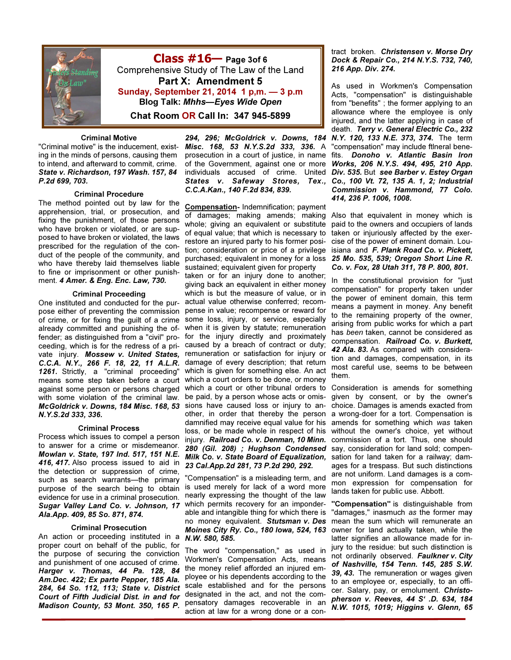

Class #16— Page 3of 6 Comprehensive Study of The Law of the Land Part X: Amendment 5 Sunday, September 21, 2014 1 p,m. — 3 p.m Blog Talk: Mhhs—Eyes Wide Open Chat Room OR Call In: 347 945-5899

#### Criminal Motive

"Criminal motive" is the inducement, existing in the minds of persons, causing them to intend, and afterward to commit, crime. *State v. Richardson, 197 Wash. 157, 84 P.2d 699, 703.* 

#### Criminal Procedure

The method pointed out by law for the apprehension, trial, or prosecution, and fixing the punishment, of those persons who have broken or violated, or are supposed to have broken or violated, the laws prescribed for the regulation of the conduct of the people of the community, and who have thereby laid themselves liable to fine or imprisonment or other punishment. *4 Amer. & Eng. Enc. Law, 730.*

#### Criminal Proceeding

One instituted and conducted for the purpose either of preventing the commission of crime, or for fixing the guilt of a crime already committed and punishing the offender; as distinguished from a "civil" proceeding, which is for the redress of a private injury. *Mossew v. United States, C.C.A. N.Y., 266 F. 18, 22, 11 A.L.R. 1261.* Strictly, a "criminal proceeding" means some step taken before a court against some person or persons charged with some violation of the criminal law. *McGoldrick v. Downs, 184 Misc. 168, 53 N.Y.S.2d 333, 336.* 

#### Criminal Process

Process which issues to compel a person to answer for a crime or misdemeanor. *Mowlan v. State, 197 Ind. 517, 151 N.E. 416, 417.* Also process issued to aid in the detection or suppression of crime, such as search warrants—the primary purpose of the search being to obtain evidence for use in a criminal prosecution. *Sugar Valley Land Co. v. Johnson, 17 Ala.App. 409, 85 So. 871, 874.* 

#### Criminal Prosecution

An action or proceeding instituted in a proper court on behalf of the public, for the purpose of securing the conviction and punishment of one accused of crime. *Harger v. Thomas, 44 Pa. 128, 84 Am.Dec. 422; Ex parte Pepper, 185 Ala. 284, 64 So. 112, 113; State v. District Court of Fifth Judicial Dist. in and for Madison County, 53 Mont. 350, 165 P.* 

*294, 296; McGoldrick v. Downs, 184 Misc. 168, 53 N.Y.S.2d 333, 336.* A individuals accused of crime. United *C.C.A.Kan., 140 F.2d 834, 839.* 

Compensation- Indemnification; payment of damages; making amends; making whole; giving an equivalent or substitute of equal value; that which is necessary to restore an injured party to his former position; consideration or price of a privilege purchased; equivalent in money for a loss sustained; equivalent given for property

taken or for an injury done to another; giving back an equivalent in either money which is but the measure of value, or in actual value otherwise conferred; recompense in value; recompense or reward for some loss, injury, or service, especially when it is given by statute; remuneration for the injury directly and proximately caused by a breach of contract or duty; remuneration or satisfaction for injury or damage of every description; that return which is given for something else. An act which a court orders to be done, or money which a court or other tribunal orders to be paid, by a person whose acts or omissions have caused loss or injury to another, in order that thereby the person damnified may receive equal value for his loss, or be made whole in respect of his injury. *Railroad Co. v. Denman, 10 Minn. 280 (Gil. 208) ; Hughson Condensed Milk Co. v. State Board of Equalization, 23 Cal.App.2d 281, 73 P.2d 290, 292.* 

"Compensation" is a misleading term, and is used merely for lack of a word more nearly expressing the thought of the law which permits recovery for an imponderable and intangible thing for which there is no money equivalent. *Stutsman v. Des Moines City Ry. Co., 180 Iowa, 524, 163 N.W. 580, 585.* 

The word "compensation," as used in Workmen's Compensation Acts, means the money relief afforded an injured employee or his dependents according to the scale established and for the persons designated in the act, and not the compensatory damages recoverable in an action at law for a wrong done or a con-

### tract broken. *Christensen v. Morse Dry Dock & Repair Co., 214 N.Y.S. 732, 740, 216 App. Div. 274.*

prosecution in a court of justice, in name fits. *Donoho v. Atlantic Basin Iron*  of the Government, against one or more *Works, 206 N.Y.S. 494, 495, 210 App. States v. Safeway Stores, Tex., Co., 100 Vt. 72, 135 A. 1, 2; Industrial*  As used in Workmen's Compensation Acts, "compensation" is distinguishable from "benefits" ; the former applying to an allowance where the employee is only injured, and the latter applying in case of death. *Terry v. General Electric Co., 232 N.Y. 120, 133 N.E. 373, 374.* The term "compensation" may include ftlneral bene-*Div. 535.* But *see Barber v. Estey Organ Commission v. Hammond, 77 Colo. 414, 236 P. 1006, 1008.* 

> Also that equivalent in money which is paid to the owners and occupiers of lands taken or injuriously affected by the exercise of the power of eminent domain. Louisiana and *F. Plank Road Co. v. Pickett, 25 Mo. 535, 539; Oregon Short Line R. Co. v. Fox, 28 Utah 311, 78 P. 800, 801.*

> In the constitutional provision for "just compensation" for property taken under the power of eminent domain, this term means a payment in money. Any benefit to the remaining property of the owner, arising from public works for which a part has been taken, cannot be considered as compensation. *Railroad Co. v. Burkett, 42 Ala. 83.* As compared with consideration and damages, compensation, in its most careful use, seems to be between them.

> Consideration is amends for something given by consent, or by the owner's choice. Damages is amends exacted from a wrong-doer for a tort. Compensation is amends for something which was taken without the owner's choice, yet without commission of a tort. Thus, one should say, consideration for land sold; compensation for land taken for a railway; damages for a trespass. But such distinctions are not uniform. Land damages is a common expression for compensation for lands taken for public use. Abbott.

> "Compensation" is distinguishable from "damages," inasmuch as the former may mean the sum which will remunerate an owner for land actually taken, while the latter signifies an allowance made for injury to the residue: but such distinction is not ordinarily observed. *Faulkner v. City of Nashville, 154 Tenn. 145, 285 S.W. 39, 43.* The remuneration or wages given to an employee or, especially, to an officer. Salary, pay, or emolument. *Christopherson v. Reeves, 44 S' .D. 634, 184 N.W. 1015, 1019; Higgins v. Glenn, 65*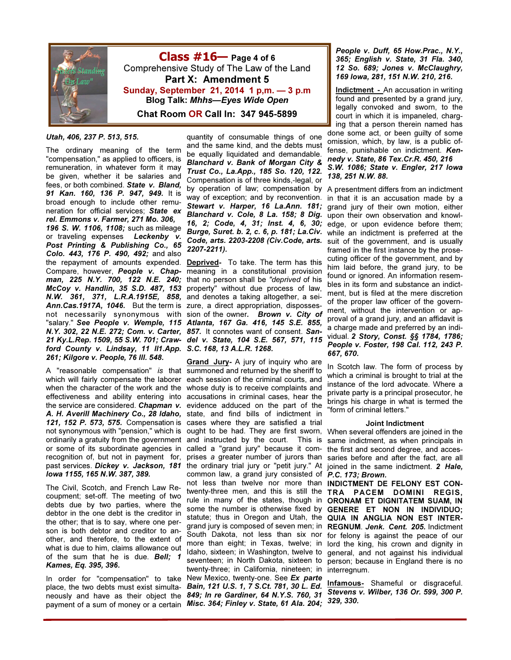

 $Class #16$  Page 4 of 6 Comprehensive Study of The Law of the Land Part X: Amendment 5 Sunday, September 21, 2014 1 p,m. — 3 p.m Blog Talk: Mhhs—Eyes Wide Open Chat Room OR Call In: 347 945-5899

## *Utah, 406, 237 P. 513, 515.*

The ordinary meaning of the term "compensation," as applied to officers, is remuneration, in whatever form it may be given, whether it be salaries and fees, or both combined. *State v. Bland, 91 Kan. 160, 136 P. 947, 949.* It is broad enough to include other remuneration for official services; *State ex rel. Emmons v. Farmer, 271 Mo. 306, 196 S. W. 1106, 1108;* such as mileage or traveling expenses *Leckenby v. Post Printing & Publishing Co., 65 Colo. 443, 176 P. 490, 492;* and also the repayment of amounts expended. Compare, however, *People v. Chapman, 225 N.Y. 700, 122 N.E. 240; McCoy v. Handlin, 35 S.D. 487, 153 N.W. 361, 371, L.R.A.1915E, 858,*  and denotes a taking altogether, a sei-*Ann.Cas.1917A, 1046.* But the term is zure, a direct appropriation, dispossesnot necessarily synonymous with sion of the owner*. Brown v. City of*  "salary." *See People v. Wemple, 115 Atlanta, 167 Ga. 416, 145 S.E. 855, N.Y. 302, 22 N.E. 272; Com. v. Carter, 857.* It connotes want of consent. *San-21 Ky.L.Rep. 1509, 55 S.W. 701; Craw-del v. State, 104 S.E. 567, 571, 115 ford County v. Lindsay, 11 Il1.App. S.C. 168, 13 A.L.R. 1268. 261; Kilgore v. People, 76 Ill. 548.* 

A "reasonable compensation" *is* that summoned and returned by the sheriff to which will fairly compensate the laborer each session of the criminal courts, and when the character of the work and the whose duty is to receive complaints and effectiveness and ability entering into accusations in criminal cases, hear the the service are considered. *Chapman v.*  evidence adduced on the part of the A. H. Averill Machinery Co., 28 Idaho, state, and find bills of indictment in *121, 152 P. 573, 575.* Compensation is cases where they are satisfied a trial ordinarily a gratuity from the government and instructed by the court. This is or some of its subordinate agencies in recognition of, but not in payment for, past services. *Dickey v. Jackson, 181 Iowa 1155, 165 N.W. 387, 389.*

The Civil, Scotch, and French Law Recoupment; set-off. The meeting of two debts due by two parties, where the debtor in the one debt is the creditor in the other; that is to say, where one person is both debtor and creditor to another, and therefore, to the extent of what is due to him, claims allowance out of the sum that he is due. *Bell; 1 Kames, Eq. 395, 396.* 

In order for "compensation" to take place, the two debts must exist simultapayment of a sum of money or a certain *Misc. 364; Finley v. State, 61 Ala. 204;* 

quantity of consumable things of one and the same kind, and the debts must be equally liquidated and demandable. *Blanchard v. Bank of Morgan City & Trust Co., La.App., 185 So. 120, 122.* Compensation is of three kinds,-legal, or by operation of law; compensation by way of exception; and by reconvention. *Stewart v. Harper, 16 La.Ann. 181; Blanchard v. Cole, 8 La. 158; 8 Dig. 16, 2; Code, 4, 31; Inst. 4, 6, 30; Burge, Suret. b. 2, c. 6, p. 181; La.Civ.*  while an indictment is preferred at the *Code, arts. 2203-2208 (Civ.Code, arts.*  suit of the government, and is usually *2207-2211).* 

Deprived- To take. The term has this meaning in a constitutional provision that no person shall be "deprived of his property" without due process of law,

not synonymous with "pension," which is ought to be had. They are first sworn, When several offenders are joined in the neously and have as their object the *849; In re Gardiner, 64 N.Y.S. 760, 31*  Grand Jury- A jury of inquiry who are called a "grand jury" because it comprises a greater number of jurors than the ordinary trial jury or "petit jury." At common law, a grand jury consisted of *P.C. 173; Brown.*  not less than twelve nor more than INDICTMENT DE FELONY EST CONtwenty-three men, and this is still the TRA PACEM DOMINI REGIS, rule in many of the states, though in ORONAM ET DIGNITATEM SUAM, IN some the number is otherwise fixed by GENERE ET NON IN INDIVIDUO; statute; thus in Oregon and Utah, the QUIA IN ANGLIA NON EST INTERgrand jury is composed of seven men; in REGNUM. *Jenk. Cent. 205.* Indictment South Dakota, not less than six nor for felony is against the peace of our more than eight; in Texas, twelve; in lord the king, his crown and dignity in Idaho, sixteen; in Washington, twelve to general, and not against his individual seventeen; in North Dakota, sixteen to person; because in England there is no twenty-three; in California, nineteen; in interregnum. New Mexico, twenty-one. See *Ex parte Bain, 121 U.S. 1, 7 S.Ct. 781, 30 L. Ed.* 

*People v. Duff, 65 How.Prac., N.Y., 365; English v. State, 31 Fla. 340, 12 So. 689; Jones v. McClaughry, 169 Iowa, 281, 151 N.W. 210, 216.*

Indictment - An accusation in writing found and presented by a grand jury, legally convoked and sworn, to the court in which it is impaneled, charging that a person therein named has done some act, or been guilty of some

omission, which, by law, is a public offense, punishable on indictment. *Kennedy v. State, 86 Tex.Cr.R. 450, 216 S.W. 1086; State v. Engler, 217 Iowa 138, 251 N.W. 88.* 

A presentment differs from an indictment in that it is an accusation made by a grand jury of their own motion, either upon their own observation and knowledge, or upon evidence before them; framed in the first instance by the prosecuting officer of the government, and by him laid before, the grand jury, to be found or ignored. An information resembles in its form and substance an indictment, but is filed at the mere discretion of the proper law officer of the government, without the intervention or approval of a grand jury, and an affidavit is a charge made and preferred by an individual. *2 Story, Const. §§ 1784, 1786; People v. Foster, 198 Cal. 112, 243 P. 667, 670.* 

In Scotch law. The form of process by which a criminal is brought to trial at the instance of the lord advocate. Where a private party is a principal prosecutor, he brings his charge in what is termed the "form of criminal letters."

#### Joint Indictment

same indictment, as when principals in the first and second degree, and accessaries before and after the fact, are all joined in the same indictment. *2 Hale,* 

Infamous- Shameful or disgraceful. *Stevens v. Wilber, 136 Or. 599, 300 P. 329, 330.*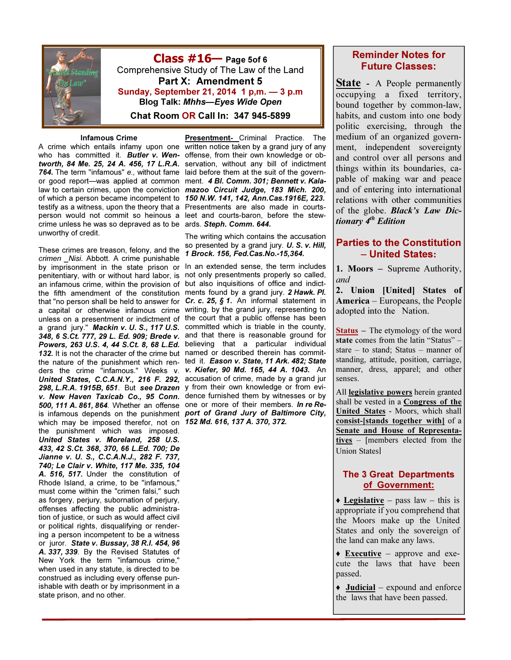

Class #16— Page 5of 6 Comprehensive Study of The Law of the Land Part X: Amendment 5 Sunday, September 21, 2014 1 p,m. — 3 p.m Blog Talk: Mhhs—Eyes Wide Open Chat Room OR Call In: 347 945-5899

#### Infamous Crime

A crime which entails infamy upon one written notice taken by a grand jury of any who has committed it. *Butler v. Wen-* offense, from their own knowledge or obtworth, 84 Me. 25, 24 A. 456, 17 L.R.A. servation, without any bill of indictment **764.** The term "infamous" e., without fame laid before them at the suit of the governor good report—was applied at common ment. *4 BI. Comm. 301; Bennett v. Kala*law to certain crimes, upon the conviction mazoo Circuit Judge, 183 Mich. 200, of which a person became incompetent to 150 N.W. 141, 142, Ann.Cas.1916E, 223. testify as a witness, upon the theory that a Presentments are also made in courtsperson would not commit so heinous a leet and courts-baron, before the stewcrime unless he was so depraved as to be ards. Steph. Comm. 644. unworthy of credit.

These crimes are treason, felony, and the crimen Nisi. Abbott. A crime punishable by imprisonment in the state prison or penitentiary, with or without hard labor, is an infamous crime, within the provision of the fifth amendment of the constitution ments found by a grand jury. 2 Hawk. Pl. that "no person shall be held to answer for  $\,$  Cr. c. 25,  $\,\,\$$  1. An informal statement in a capital or otherwise infamous crime writing, by the grand jury, representing to unless on a presentment or indictment of the court that a public offense has been a grand jury." Mackin v. U. S., 117 U.S. committed which is triable in the county, 348, 6 S.Ct. 777, 29 L. Ed. 909; Brede v. and that there is reasonable ground for Powers, 263 U.S. 4, 44 S.Ct. 8, 68 L.Ed. believing that a particular individual 132. It is not the character of the crime but named or described therein has committhe nature of the punishment which ren- ted it. Eason v. State, 11 Ark. 482; State ders the crime "infamous." Weeks v. v. Kiefer, 90 Md. 165, 44 A. 1043. An United States, C.C.A.N.Y., 216 F. 292, accusation of crime, made by a grand jur 298, L.R.A. 1915B, 651. But see Drazen y from their own knowledge or from eviv. New Haven Taxicab Co., 95 Conn. dence furnished them by witnesses or by 500, 111 A. 861, 864. Whether an offense one or more of their members. In re Reis infamous depends on the punishment port of Grand Jury of Baltimore City, which may be imposed therefor, not on 152 Md. 616, 137 A. 370, 372. the punishment which was imposed. United States v. Moreland, 258 U.S. 433, 42 S.Ct. 368, 370, 66 L.Ed. 700; De Jianne v. U. S., C.C.A.N.J., 282 F. 737, 740; Le Clair v. White, 117 Me. 335, 104 A. 516, 517. Under the constitution of Rhode Island, a crime, to be "infamous," must come within the "crimen falsi," such as forgery, perjury, subornation of perjury, offenses affecting the public administration of justice, or such as would affect civil or political rights, disqualifying or rendering a person incompetent to be a witness or juror. State v. Bussay, 38 R.I. 454, 96 A. 337, 339. By the Revised Statutes of New York the term "infamous crime," when used in any statute, is directed to be construed as including every offense punishable with death or by imprisonment in a state prison, and no other.

Presentment- Criminal Practice. The

The writing which contains the accusation so presented by a grand jury. U. S. v. Hill, 1 Brock. 156, Fed.Cas.No.-15,364.

In an extended sense, the term includes not only presentments properly so called, but also inquisitions of office and indict-

# Reminder Notes for Future Classes:

State - A People permanently occupying a fixed territory, bound together by common-law, habits, and custom into one body politic exercising, through the medium of an organized government, independent sovereignty and control over all persons and things within its boundaries, capable of making war and peace and of entering into international relations with other communities of the globe. Black's Law Dictionary  $4<sup>th</sup>$  Edition

# Parties to the Constitution – United States:

1. Moors – Supreme Authority, and

2. Union [United] States of America – Europeans, the People adopted into the Nation.

Status – The etymology of the word state comes from the latin "Status" – stare – to stand; Status – manner of standing, attitude, position, carriage, manner, dress, apparel; and other senses.

All **legislative powers** herein granted shall be vested in a Congress of the United States - Moors, which shall consist-[stands together with] of a Senate and House of Representatives – [members elected from the Union States]

# The 3 Great Departments of Government:

 $\triangle$  Legislative – pass law – this is appropriate if you comprehend that the Moors make up the United States and only the sovereign of the land can make any laws.

- $\triangle$  **Executive** approve and execute the laws that have been passed.
- $\triangleleft$  Judicial expound and enforce the laws that have been passed.